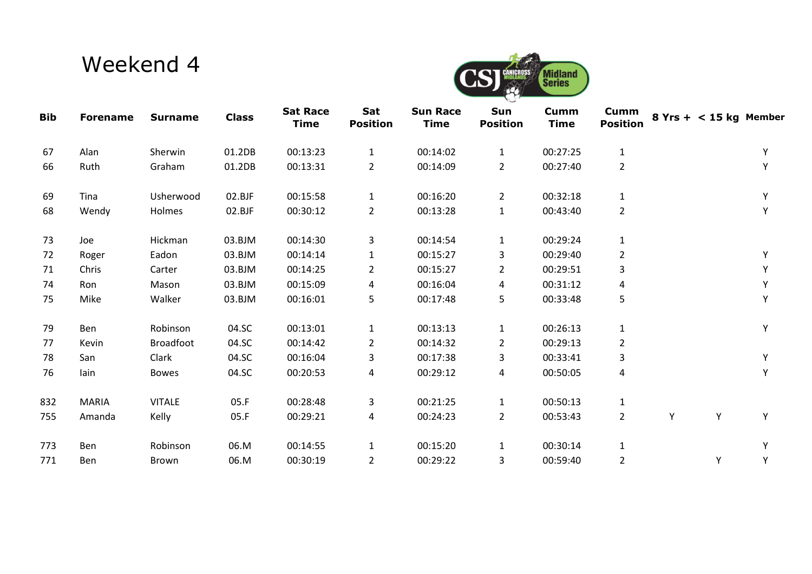## Weekend 4



| <b>Bib</b> | <b>Forename</b> | <b>Surname</b>   | <b>Class</b> | <b>Sat Race</b><br><b>Time</b> | Sat<br><b>Position</b> | <b>Sun Race</b><br><b>Time</b> | Sun<br><b>Position</b> | Cumm<br><b>Time</b> | Cumm<br><b>Position</b> |   | $8$ Yrs + < 15 kg Member |   |
|------------|-----------------|------------------|--------------|--------------------------------|------------------------|--------------------------------|------------------------|---------------------|-------------------------|---|--------------------------|---|
| 67         | Alan            | Sherwin          | 01.2DB       | 00:13:23                       | $\mathbf{1}$           | 00:14:02                       | $\mathbf{1}$           | 00:27:25            | $\mathbf 1$             |   |                          | Y |
| 66         | Ruth            | Graham           | 01.2DB       | 00:13:31                       | $\overline{2}$         | 00:14:09                       | $\overline{2}$         | 00:27:40            | $\overline{2}$          |   |                          | Y |
| 69         | Tina            | Usherwood        | 02.BJF       | 00:15:58                       | $\mathbf{1}$           | 00:16:20                       | $\overline{2}$         | 00:32:18            | $\mathbf{1}$            |   |                          | Y |
| 68         | Wendy           | Holmes           | 02.BJF       | 00:30:12                       | $\overline{2}$         | 00:13:28                       | $\mathbf{1}$           | 00:43:40            | $\overline{2}$          |   |                          | Y |
| 73         | Joe             | Hickman          | 03.BJM       | 00:14:30                       | 3                      | 00:14:54                       | $\mathbf{1}$           | 00:29:24            | $\mathbf{1}$            |   |                          |   |
| 72         | Roger           | Eadon            | 03.BJM       | 00:14:14                       | 1                      | 00:15:27                       | 3                      | 00:29:40            | $\overline{2}$          |   |                          | Y |
| 71         | Chris           | Carter           | 03.BJM       | 00:14:25                       | $\overline{2}$         | 00:15:27                       | $\overline{2}$         | 00:29:51            | 3                       |   |                          | Υ |
| 74         | <b>Ron</b>      | Mason            | 03.BJM       | 00:15:09                       | 4                      | 00:16:04                       | 4                      | 00:31:12            | 4                       |   |                          | Υ |
| 75         | Mike            | Walker           | 03.BJM       | 00:16:01                       | 5                      | 00:17:48                       | 5                      | 00:33:48            | 5                       |   |                          | Υ |
| 79         | Ben             | Robinson         | 04.SC        | 00:13:01                       | $\mathbf{1}$           | 00:13:13                       | $\mathbf{1}$           | 00:26:13            | $\mathbf{1}$            |   |                          | Y |
| 77         | Kevin           | <b>Broadfoot</b> | 04.SC        | 00:14:42                       | $\overline{2}$         | 00:14:32                       | $\overline{2}$         | 00:29:13            | $\overline{2}$          |   |                          |   |
| 78         | San             | Clark            | 04.SC        | 00:16:04                       | 3                      | 00:17:38                       | 3                      | 00:33:41            | 3                       |   |                          | Y |
| 76         | lain            | <b>Bowes</b>     | 04.SC        | 00:20:53                       | 4                      | 00:29:12                       | 4                      | 00:50:05            | 4                       |   |                          | Y |
| 832        | <b>MARIA</b>    | <b>VITALE</b>    | 05.F         | 00:28:48                       | 3                      | 00:21:25                       | $\mathbf{1}$           | 00:50:13            | $\mathbf{1}$            |   |                          |   |
| 755        | Amanda          | Kelly            | 05.F         | 00:29:21                       | 4                      | 00:24:23                       | $\overline{2}$         | 00:53:43            | $\overline{2}$          | Y | Υ                        | Y |
| 773        | Ben             | Robinson         | 06.M         | 00:14:55                       | $\mathbf{1}$           | 00:15:20                       | $\mathbf{1}$           | 00:30:14            | $\mathbf{1}$            |   |                          | Υ |
| 771        | <b>Ben</b>      | Brown            | 06.M         | 00:30:19                       | $\overline{2}$         | 00:29:22                       | 3                      | 00:59:40            | $\overline{2}$          |   | Υ                        | Υ |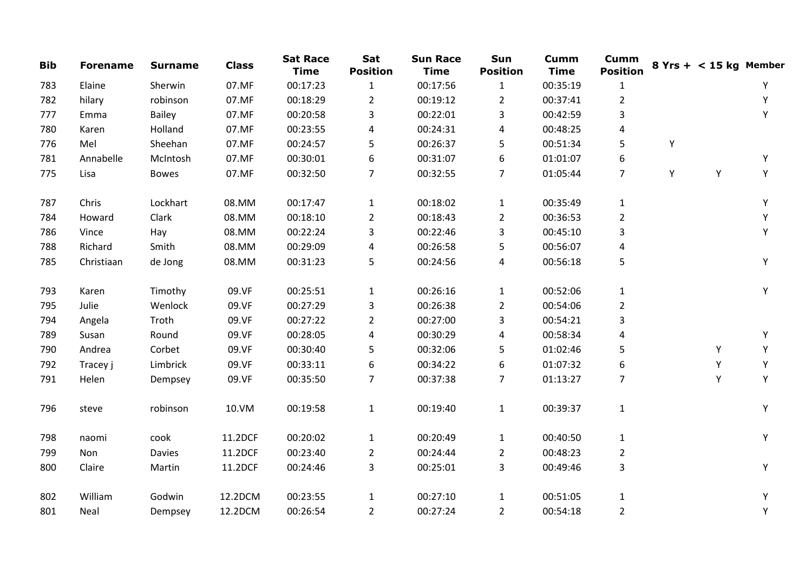| <b>Bib</b> | <b>Forename</b> | <b>Surname</b> | <b>Class</b> | <b>Sat Race</b><br><b>Time</b> | Sat<br><b>Position</b> | <b>Sun Race</b><br><b>Time</b> | Sun<br><b>Position</b> | <b>Cumm</b><br><b>Time</b> | <b>Cumm</b><br><b>Position</b> |   | $8$ Yrs + < 15 kg Member |   |
|------------|-----------------|----------------|--------------|--------------------------------|------------------------|--------------------------------|------------------------|----------------------------|--------------------------------|---|--------------------------|---|
| 783        | Elaine          | Sherwin        | 07.MF        | 00:17:23                       | $\mathbf{1}$           | 00:17:56                       | $\mathbf{1}$           | 00:35:19                   | $\mathbf{1}$                   |   |                          | Υ |
| 782        | hilary          | robinson       | 07.MF        | 00:18:29                       | $\overline{2}$         | 00:19:12                       | $\overline{2}$         | 00:37:41                   | $\overline{2}$                 |   |                          | Υ |
| 777        | Emma            | <b>Bailey</b>  | 07.MF        | 00:20:58                       | 3                      | 00:22:01                       | 3                      | 00:42:59                   | 3                              |   |                          | Υ |
| 780        | Karen           | Holland        | 07.MF        | 00:23:55                       | 4                      | 00:24:31                       | 4                      | 00:48:25                   | 4                              |   |                          |   |
| 776        | Mel             | Sheehan        | 07.MF        | 00:24:57                       | 5                      | 00:26:37                       | 5                      | 00:51:34                   | 5                              | Υ |                          |   |
| 781        | Annabelle       | McIntosh       | 07.MF        | 00:30:01                       | 6                      | 00:31:07                       | 6                      | 01:01:07                   | 6                              |   |                          | Υ |
| 775        | Lisa            | <b>Bowes</b>   | 07.MF        | 00:32:50                       | 7                      | 00:32:55                       | 7                      | 01:05:44                   | $\overline{7}$                 | Υ | Υ                        | Υ |
| 787        | Chris           | Lockhart       | 08.MM        | 00:17:47                       | $\mathbf{1}$           | 00:18:02                       | $\mathbf{1}$           | 00:35:49                   | $\mathbf{1}$                   |   |                          | Υ |
| 784        | Howard          | Clark          | 08.MM        | 00:18:10                       | $\overline{2}$         | 00:18:43                       | $\overline{2}$         | 00:36:53                   | $\overline{2}$                 |   |                          | Υ |
| 786        | Vince           | Hay            | 08.MM        | 00:22:24                       | 3                      | 00:22:46                       | 3                      | 00:45:10                   | 3                              |   |                          | Υ |
| 788        | Richard         | Smith          | 08.MM        | 00:29:09                       | 4                      | 00:26:58                       | 5                      | 00:56:07                   | 4                              |   |                          |   |
| 785        | Christiaan      | de Jong        | 08.MM        | 00:31:23                       | 5                      | 00:24:56                       | 4                      | 00:56:18                   | 5                              |   |                          | Y |
| 793        | Karen           | Timothy        | 09.VF        | 00:25:51                       | $\mathbf{1}$           | 00:26:16                       | $\mathbf{1}$           | 00:52:06                   | $\mathbf{1}$                   |   |                          | Y |
| 795        | Julie           | Wenlock        | 09.VF        | 00:27:29                       | 3                      | 00:26:38                       | $\overline{2}$         | 00:54:06                   | $\overline{2}$                 |   |                          |   |
| 794        | Angela          | Troth          | 09.VF        | 00:27:22                       | $\overline{2}$         | 00:27:00                       | 3                      | 00:54:21                   | 3                              |   |                          |   |
| 789        | Susan           | Round          | 09.VF        | 00:28:05                       | 4                      | 00:30:29                       | 4                      | 00:58:34                   | 4                              |   |                          | Y |
| 790        | Andrea          | Corbet         | 09.VF        | 00:30:40                       | 5                      | 00:32:06                       | 5                      | 01:02:46                   | 5                              |   | Y                        | Υ |
| 792        | Tracey j        | Limbrick       | 09.VF        | 00:33:11                       | 6                      | 00:34:22                       | 6                      | 01:07:32                   | 6                              |   | Υ                        | Y |
| 791        | Helen           | Dempsey        | 09.VF        | 00:35:50                       | 7                      | 00:37:38                       | 7                      | 01:13:27                   | 7                              |   | Y                        | Υ |
| 796        | steve           | robinson       | 10.VM        | 00:19:58                       | $\mathbf{1}$           | 00:19:40                       | $\mathbf{1}$           | 00:39:37                   | $\mathbf{1}$                   |   |                          | Y |
| 798        | naomi           | cook           | 11.2DCF      | 00:20:02                       | $\mathbf{1}$           | 00:20:49                       | $\mathbf{1}$           | 00:40:50                   | $\mathbf 1$                    |   |                          | Υ |
| 799        | Non             | <b>Davies</b>  | 11.2DCF      | 00:23:40                       | $\overline{2}$         | 00:24:44                       | $\overline{2}$         | 00:48:23                   | $\overline{2}$                 |   |                          |   |
| 800        | Claire          | Martin         | 11.2DCF      | 00:24:46                       | 3                      | 00:25:01                       | 3                      | 00:49:46                   | 3                              |   |                          | Y |
| 802        | William         | Godwin         | 12.2DCM      | 00:23:55                       | $\mathbf{1}$           | 00:27:10                       | $\mathbf{1}$           | 00:51:05                   | $\mathbf{1}$                   |   |                          | Υ |
| 801        | Neal            | Dempsey        | 12.2DCM      | 00:26:54                       | $\overline{2}$         | 00:27:24                       | $\overline{2}$         | 00:54:18                   | $\overline{2}$                 |   |                          | Υ |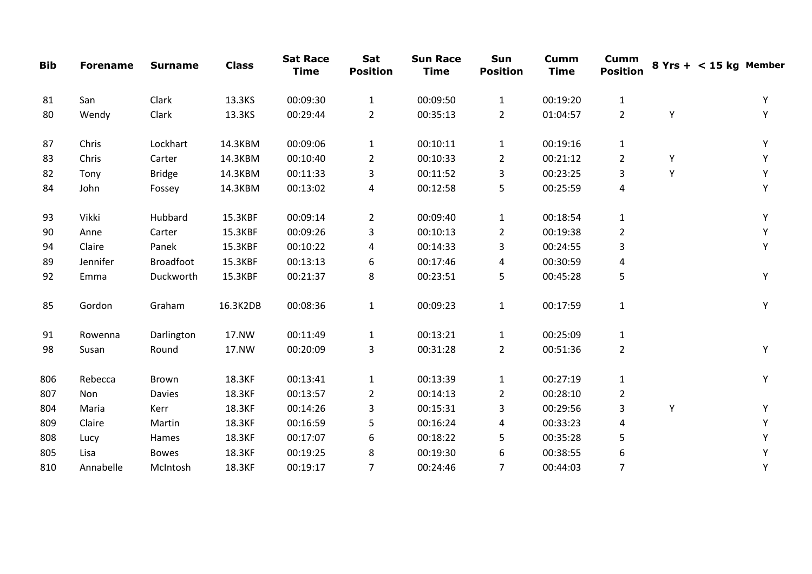| <b>Bib</b> | <b>Forename</b> | <b>Surname</b>   | <b>Class</b> | <b>Sat Race</b><br><b>Time</b> | Sat<br><b>Position</b> | <b>Sun Race</b><br><b>Time</b> | Sun<br><b>Position</b> | <b>Cumm</b><br><b>Time</b> | <b>Cumm</b><br><b>Position</b> |   | $8$ Yrs + < 15 kg Member |
|------------|-----------------|------------------|--------------|--------------------------------|------------------------|--------------------------------|------------------------|----------------------------|--------------------------------|---|--------------------------|
| 81         | San             | Clark            | 13.3KS       | 00:09:30                       | $\mathbf{1}$           | 00:09:50                       | $\mathbf{1}$           | 00:19:20                   | $\mathbf{1}$                   |   | Υ                        |
| 80         | Wendy           | Clark            | 13.3KS       | 00:29:44                       | $\overline{2}$         | 00:35:13                       | $\overline{2}$         | 01:04:57                   | $\overline{2}$                 | Υ | Y                        |
| 87         | Chris           | Lockhart         | 14.3KBM      | 00:09:06                       | $\mathbf{1}$           | 00:10:11                       | $\mathbf{1}$           | 00:19:16                   | $\mathbf{1}$                   |   | Υ                        |
| 83         | Chris           | Carter           | 14.3KBM      | 00:10:40                       | $\overline{2}$         | 00:10:33                       | $\overline{2}$         | 00:21:12                   | $\overline{2}$                 | Υ | Υ                        |
| 82         | Tony            | <b>Bridge</b>    | 14.3KBM      | 00:11:33                       | 3                      | 00:11:52                       | 3                      | 00:23:25                   | 3                              | Y | Υ                        |
| 84         | John            | Fossey           | 14.3KBM      | 00:13:02                       | 4                      | 00:12:58                       | 5                      | 00:25:59                   | 4                              |   | Y                        |
| 93         | Vikki           | Hubbard          | 15.3KBF      | 00:09:14                       | $\overline{2}$         | 00:09:40                       | 1                      | 00:18:54                   | $\mathbf{1}$                   |   | Υ                        |
| 90         | Anne            | Carter           | 15.3KBF      | 00:09:26                       | 3                      | 00:10:13                       | $\overline{a}$         | 00:19:38                   | $\overline{2}$                 |   | Υ                        |
| 94         | Claire          | Panek            | 15.3KBF      | 00:10:22                       | 4                      | 00:14:33                       | 3                      | 00:24:55                   | 3                              |   | Υ                        |
| 89         | Jennifer        | <b>Broadfoot</b> | 15.3KBF      | 00:13:13                       | 6                      | 00:17:46                       | 4                      | 00:30:59                   | 4                              |   |                          |
| 92         | Emma            | Duckworth        | 15.3KBF      | 00:21:37                       | 8                      | 00:23:51                       | 5                      | 00:45:28                   | 5                              |   | Y                        |
| 85         | Gordon          | Graham           | 16.3K2DB     | 00:08:36                       | $\mathbf{1}$           | 00:09:23                       | $\mathbf{1}$           | 00:17:59                   | $\mathbf{1}$                   |   | Y                        |
| 91         | Rowenna         | Darlington       | 17.NW        | 00:11:49                       | $\mathbf{1}$           | 00:13:21                       | $\mathbf{1}$           | 00:25:09                   | $\mathbf{1}$                   |   |                          |
| 98         | Susan           | Round            | 17.NW        | 00:20:09                       | 3                      | 00:31:28                       | $\overline{2}$         | 00:51:36                   | $\overline{2}$                 |   | Y                        |
| 806        | Rebecca         | <b>Brown</b>     | 18.3KF       | 00:13:41                       | $\mathbf{1}$           | 00:13:39                       | $\mathbf{1}$           | 00:27:19                   | $\mathbf{1}$                   |   | Y                        |
| 807        | Non             | <b>Davies</b>    | 18.3KF       | 00:13:57                       | $\overline{2}$         | 00:14:13                       | $\overline{2}$         | 00:28:10                   | $\overline{2}$                 |   |                          |
| 804        | Maria           | Kerr             | 18.3KF       | 00:14:26                       | 3                      | 00:15:31                       | 3                      | 00:29:56                   | 3                              | Y | Υ                        |
| 809        | Claire          | Martin           | 18.3KF       | 00:16:59                       | 5                      | 00:16:24                       | 4                      | 00:33:23                   | 4                              |   | Y                        |
| 808        | Lucy            | Hames            | 18.3KF       | 00:17:07                       | 6                      | 00:18:22                       | 5                      | 00:35:28                   | 5                              |   | Υ                        |
| 805        | Lisa            | <b>Bowes</b>     | 18.3KF       | 00:19:25                       | 8                      | 00:19:30                       | 6                      | 00:38:55                   | 6                              |   | Y                        |
| 810        | Annabelle       | McIntosh         | 18.3KF       | 00:19:17                       | $\overline{7}$         | 00:24:46                       | $\overline{7}$         | 00:44:03                   | $\overline{7}$                 |   | Υ                        |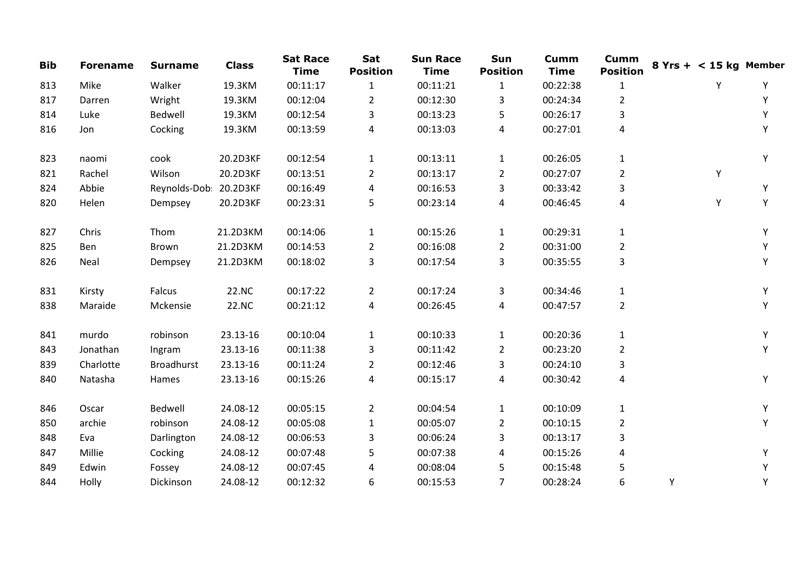| <b>Bib</b> | <b>Forename</b> | <b>Surname</b>         | <b>Class</b> | <b>Sat Race</b><br><b>Time</b> | Sat<br><b>Position</b> | <b>Sun Race</b><br><b>Time</b> | Sun<br><b>Position</b> | <b>Cumm</b><br><b>Time</b> | <b>Cumm</b><br><b>Position</b> | $8$ Yrs + < 15 kg Member |   |   |
|------------|-----------------|------------------------|--------------|--------------------------------|------------------------|--------------------------------|------------------------|----------------------------|--------------------------------|--------------------------|---|---|
| 813        | Mike            | Walker                 | 19.3KM       | 00:11:17                       | $\mathbf{1}$           | 00:11:21                       | 1                      | 00:22:38                   | 1                              |                          | Y | Υ |
| 817        | Darren          | Wright                 | 19.3KM       | 00:12:04                       | $\overline{2}$         | 00:12:30                       | 3                      | 00:24:34                   | $\overline{2}$                 |                          |   | Υ |
| 814        | Luke            | Bedwell                | 19.3KM       | 00:12:54                       | 3                      | 00:13:23                       | 5                      | 00:26:17                   | 3                              |                          |   | Υ |
| 816        | Jon             | Cocking                | 19.3KM       | 00:13:59                       | 4                      | 00:13:03                       | 4                      | 00:27:01                   | 4                              |                          |   | Υ |
| 823        | naomi           | cook                   | 20.2D3KF     | 00:12:54                       | $\mathbf{1}$           | 00:13:11                       | $\mathbf{1}$           | 00:26:05                   | $\mathbf{1}$                   |                          |   | Υ |
| 821        | Rachel          | Wilson                 | 20.2D3KF     | 00:13:51                       | $\overline{2}$         | 00:13:17                       | $\mathbf{2}$           | 00:27:07                   | $\overline{2}$                 |                          | Y |   |
| 824        | Abbie           | Reynolds-Dob: 20.2D3KF |              | 00:16:49                       | 4                      | 00:16:53                       | 3                      | 00:33:42                   | 3                              |                          |   | Υ |
| 820        | Helen           | Dempsey                | 20.2D3KF     | 00:23:31                       | 5                      | 00:23:14                       | 4                      | 00:46:45                   | 4                              |                          | Υ | Υ |
| 827        | Chris           | Thom                   | 21.2D3KM     | 00:14:06                       | $\mathbf{1}$           | 00:15:26                       | $\mathbf{1}$           | 00:29:31                   | $\mathbf{1}$                   |                          |   | Υ |
| 825        | Ben             | Brown                  | 21.2D3KM     | 00:14:53                       | $\overline{2}$         | 00:16:08                       | $\overline{2}$         | 00:31:00                   | $\overline{a}$                 |                          |   | Υ |
| 826        | Neal            | Dempsey                | 21.2D3KM     | 00:18:02                       | 3                      | 00:17:54                       | 3                      | 00:35:55                   | 3                              |                          |   | Υ |
| 831        | Kirsty          | Falcus                 | 22.NC        | 00:17:22                       | $\overline{2}$         | 00:17:24                       | 3                      | 00:34:46                   | $\mathbf{1}$                   |                          |   | Y |
| 838        | Maraide         | Mckensie               | 22.NC        | 00:21:12                       | 4                      | 00:26:45                       | 4                      | 00:47:57                   | $\overline{2}$                 |                          |   | Y |
| 841        | murdo           | robinson               | 23.13-16     | 00:10:04                       | $\mathbf{1}$           | 00:10:33                       | $\mathbf{1}$           | 00:20:36                   | $\mathbf{1}$                   |                          |   | Υ |
| 843        | Jonathan        | Ingram                 | 23.13-16     | 00:11:38                       | 3                      | 00:11:42                       | $\overline{2}$         | 00:23:20                   | 2                              |                          |   | Υ |
| 839        | Charlotte       | <b>Broadhurst</b>      | 23.13-16     | 00:11:24                       | $\overline{2}$         | 00:12:46                       | 3                      | 00:24:10                   | 3                              |                          |   |   |
| 840        | Natasha         | Hames                  | 23.13-16     | 00:15:26                       | 4                      | 00:15:17                       | 4                      | 00:30:42                   | 4                              |                          |   | Y |
| 846        | Oscar           | Bedwell                | 24.08-12     | 00:05:15                       | $\overline{2}$         | 00:04:54                       | $\mathbf{1}$           | 00:10:09                   | $\mathbf{1}$                   |                          |   | Υ |
| 850        | archie          | robinson               | 24.08-12     | 00:05:08                       | $\mathbf{1}$           | 00:05:07                       | $\overline{2}$         | 00:10:15                   | $\overline{2}$                 |                          |   | Υ |
| 848        | Eva             | Darlington             | 24.08-12     | 00:06:53                       | 3                      | 00:06:24                       | 3                      | 00:13:17                   | 3                              |                          |   |   |
| 847        | Millie          | Cocking                | 24.08-12     | 00:07:48                       | 5                      | 00:07:38                       | 4                      | 00:15:26                   | 4                              |                          |   | Υ |
| 849        | Edwin           | Fossey                 | 24.08-12     | 00:07:45                       | 4                      | 00:08:04                       | 5                      | 00:15:48                   | 5                              |                          |   | Υ |
| 844        | Holly           | Dickinson              | 24.08-12     | 00:12:32                       | 6                      | 00:15:53                       | $\overline{7}$         | 00:28:24                   | 6                              | Y                        |   | Υ |